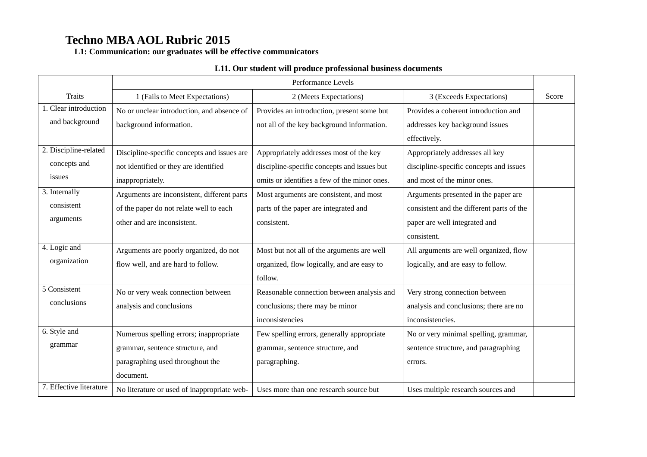**L1: Communication: our graduates will be effective communicators**

### **L11. Our student will produce professional business documents**

|                         | Performance Levels                          |                                              |                                           |       |
|-------------------------|---------------------------------------------|----------------------------------------------|-------------------------------------------|-------|
| <b>Traits</b>           | 1 (Fails to Meet Expectations)              | 2 (Meets Expectations)                       | 3 (Exceeds Expectations)                  | Score |
| 1. Clear introduction   | No or unclear introduction, and absence of  | Provides an introduction, present some but   | Provides a coherent introduction and      |       |
| and background          | background information.                     | not all of the key background information.   | addresses key background issues           |       |
|                         |                                             |                                              | effectively.                              |       |
| 2. Discipline-related   | Discipline-specific concepts and issues are | Appropriately addresses most of the key      | Appropriately addresses all key           |       |
| concepts and            | not identified or they are identified       | discipline-specific concepts and issues but  | discipline-specific concepts and issues   |       |
| issues                  | inappropriately.                            | omits or identifies a few of the minor ones. | and most of the minor ones.               |       |
| 3. Internally           | Arguments are inconsistent, different parts | Most arguments are consistent, and most      | Arguments presented in the paper are      |       |
| consistent              | of the paper do not relate well to each     | parts of the paper are integrated and        | consistent and the different parts of the |       |
| arguments               | other and are inconsistent.                 | consistent.                                  | paper are well integrated and             |       |
|                         |                                             |                                              | consistent.                               |       |
| 4. Logic and            | Arguments are poorly organized, do not      | Most but not all of the arguments are well   | All arguments are well organized, flow    |       |
| organization            | flow well, and are hard to follow.          | organized, flow logically, and are easy to   | logically, and are easy to follow.        |       |
|                         |                                             | follow.                                      |                                           |       |
| 5 Consistent            | No or very weak connection between          | Reasonable connection between analysis and   | Very strong connection between            |       |
| conclusions             | analysis and conclusions                    | conclusions; there may be minor              | analysis and conclusions; there are no    |       |
|                         |                                             | inconsistencies                              | inconsistencies.                          |       |
| 6. Style and            | Numerous spelling errors; inappropriate     | Few spelling errors, generally appropriate   | No or very minimal spelling, grammar,     |       |
| grammar                 | grammar, sentence structure, and            | grammar, sentence structure, and             | sentence structure, and paragraphing      |       |
|                         | paragraphing used throughout the            | paragraphing.                                | errors.                                   |       |
|                         | document.                                   |                                              |                                           |       |
| 7. Effective literature | No literature or used of inappropriate web- | Uses more than one research source but       | Uses multiple research sources and        |       |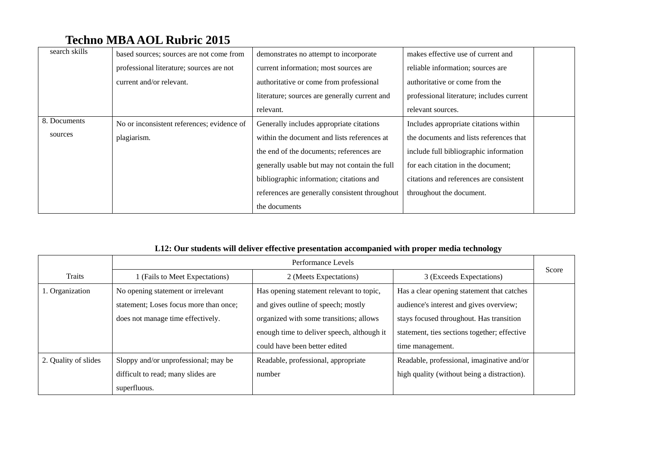| search skills | based sources; sources are not come from   | demonstrates no attempt to incorporate         | makes effective use of current and        |
|---------------|--------------------------------------------|------------------------------------------------|-------------------------------------------|
|               | professional literature; sources are not   | current information; most sources are          | reliable information; sources are         |
|               | current and/or relevant.                   | authoritative or come from professional        | authoritative or come from the            |
|               |                                            | literature; sources are generally current and  | professional literature; includes current |
|               |                                            | relevant.                                      | relevant sources.                         |
| 8. Documents  | No or inconsistent references; evidence of | Generally includes appropriate citations       | Includes appropriate citations within     |
| sources       | plagiarism.                                | within the document and lists references at    | the documents and lists references that   |
|               |                                            | the end of the documents; references are       | include full bibliographic information    |
|               |                                            | generally usable but may not contain the full  | for each citation in the document;        |
|               |                                            | bibliographic information; citations and       | citations and references are consistent   |
|               |                                            | references are generally consistent throughout | throughout the document.                  |
|               |                                            | the documents                                  |                                           |

### **L12: Our students will deliver effective presentation accompanied with proper media technology**

|                      | Performance Levels                     |                                            |                                              |       |
|----------------------|----------------------------------------|--------------------------------------------|----------------------------------------------|-------|
| Traits               | 1 (Fails to Meet Expectations)         | 2 (Meets Expectations)                     | 3 (Exceeds Expectations)                     | Score |
| 1. Organization      | No opening statement or irrelevant     | Has opening statement relevant to topic,   | Has a clear opening statement that catches   |       |
|                      | statement; Loses focus more than once; | and gives outline of speech; mostly        | audience's interest and gives overview;      |       |
|                      | does not manage time effectively.      | organized with some transitions; allows    | stays focused throughout. Has transition     |       |
|                      |                                        | enough time to deliver speech, although it | statement, ties sections together; effective |       |
|                      |                                        | could have been better edited              | time management.                             |       |
| 2. Quality of slides | Sloppy and/or unprofessional; may be   | Readable, professional, appropriate        | Readable, professional, imaginative and/or   |       |
|                      | difficult to read; many slides are     | number                                     | high quality (without being a distraction).  |       |
|                      | superfluous.                           |                                            |                                              |       |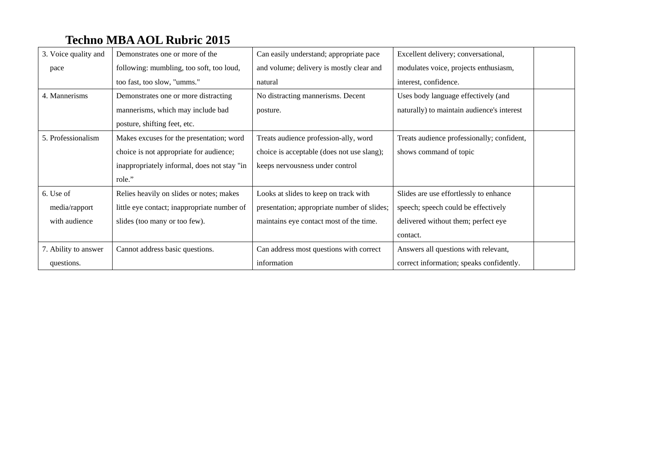| 3. Voice quality and | Demonstrates one or more of the             | Can easily understand; appropriate pace     | Excellent delivery; conversational,        |  |
|----------------------|---------------------------------------------|---------------------------------------------|--------------------------------------------|--|
| pace                 | following: mumbling, too soft, too loud,    | and volume; delivery is mostly clear and    | modulates voice, projects enthusiasm,      |  |
|                      | too fast, too slow, "umms."                 | natural                                     | interest, confidence.                      |  |
| 4. Mannerisms        | Demonstrates one or more distracting        | No distracting mannerisms. Decent           | Uses body language effectively (and        |  |
|                      | mannerisms, which may include bad           | posture.                                    | naturally) to maintain audience's interest |  |
|                      | posture, shifting feet, etc.                |                                             |                                            |  |
| 5. Professionalism   | Makes excuses for the presentation; word    | Treats audience profession-ally, word       | Treats audience professionally; confident, |  |
|                      | choice is not appropriate for audience;     | choice is acceptable (does not use slang);  | shows command of topic                     |  |
|                      | inappropriately informal, does not stay "in | keeps nervousness under control             |                                            |  |
|                      | role."                                      |                                             |                                            |  |
| 6. Use of            | Relies heavily on slides or notes; makes    | Looks at slides to keep on track with       | Slides are use effortlessly to enhance     |  |
| media/rapport        | little eye contact; inappropriate number of | presentation; appropriate number of slides; | speech; speech could be effectively        |  |
| with audience        | slides (too many or too few).               | maintains eye contact most of the time.     | delivered without them; perfect eye        |  |
|                      |                                             |                                             | contact.                                   |  |
| 7. Ability to answer | Cannot address basic questions.             | Can address most questions with correct     | Answers all questions with relevant,       |  |
| questions.           |                                             | information                                 | correct information; speaks confidently.   |  |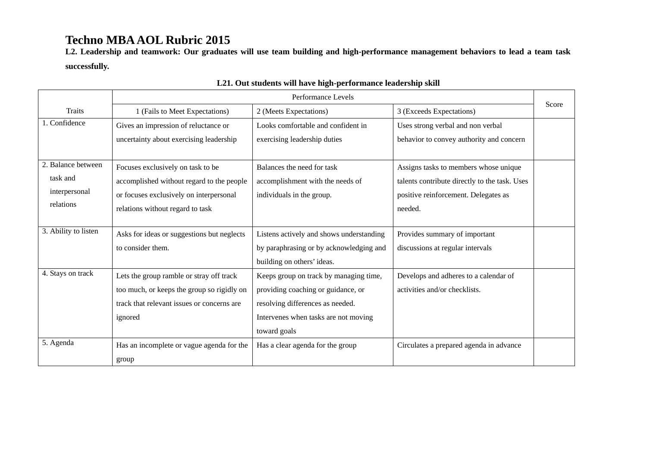**L2. Leadership and teamwork: Our graduates will use team building and high-performance management behaviors to lead a team task successfully.** 

|                      | Performance Levels                         |                                          |                                               |       |
|----------------------|--------------------------------------------|------------------------------------------|-----------------------------------------------|-------|
| <b>Traits</b>        | 1 (Fails to Meet Expectations)             | 2 (Meets Expectations)                   | 3 (Exceeds Expectations)                      | Score |
| 1. Confidence        | Gives an impression of reluctance or       | Looks comfortable and confident in       | Uses strong verbal and non verbal             |       |
|                      | uncertainty about exercising leadership    | exercising leadership duties             | behavior to convey authority and concern      |       |
|                      |                                            |                                          |                                               |       |
| 2. Balance between   | Focuses exclusively on task to be          | Balances the need for task               | Assigns tasks to members whose unique         |       |
| task and             | accomplished without regard to the people  | accomplishment with the needs of         | talents contribute directly to the task. Uses |       |
| interpersonal        | or focuses exclusively on interpersonal    | individuals in the group.                | positive reinforcement. Delegates as          |       |
| relations            | relations without regard to task           |                                          | needed.                                       |       |
|                      |                                            |                                          |                                               |       |
| 3. Ability to listen | Asks for ideas or suggestions but neglects | Listens actively and shows understanding | Provides summary of important                 |       |
|                      | to consider them.                          | by paraphrasing or by acknowledging and  | discussions at regular intervals              |       |
|                      |                                            | building on others' ideas.               |                                               |       |
| 4. Stays on track    | Lets the group ramble or stray off track   | Keeps group on track by managing time,   | Develops and adheres to a calendar of         |       |
|                      | too much, or keeps the group so rigidly on | providing coaching or guidance, or       | activities and/or checklists.                 |       |
|                      | track that relevant issues or concerns are | resolving differences as needed.         |                                               |       |
|                      | ignored                                    | Intervenes when tasks are not moving     |                                               |       |
|                      |                                            | toward goals                             |                                               |       |
| 5. Agenda            | Has an incomplete or vague agenda for the  | Has a clear agenda for the group         | Circulates a prepared agenda in advance       |       |
|                      | group                                      |                                          |                                               |       |

### **L21. Out students will have high-performance leadership skill**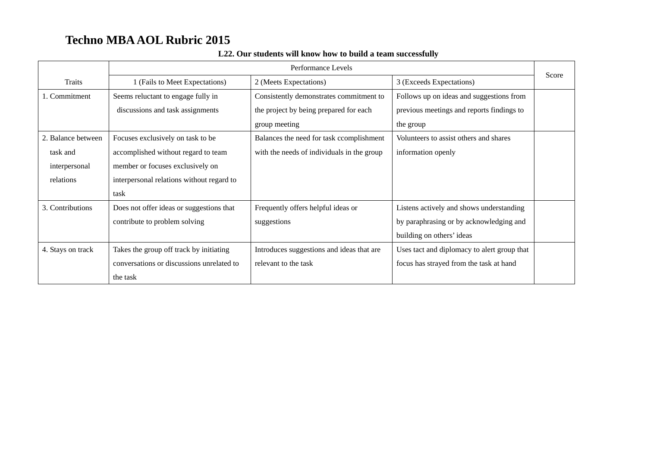|                    | Performance Levels                        |                                            |                                             |       |
|--------------------|-------------------------------------------|--------------------------------------------|---------------------------------------------|-------|
| Traits             | 1 (Fails to Meet Expectations)            | 2 (Meets Expectations)                     | 3 (Exceeds Expectations)                    | Score |
| 1. Commitment      | Seems reluctant to engage fully in        | Consistently demonstrates commitment to    | Follows up on ideas and suggestions from    |       |
|                    | discussions and task assignments          | the project by being prepared for each     | previous meetings and reports findings to   |       |
|                    |                                           | group meeting                              | the group                                   |       |
| 2. Balance between | Focuses exclusively on task to be         | Balances the need for task ccomplishment   | Volunteers to assist others and shares      |       |
| task and           | accomplished without regard to team       | with the needs of individuals in the group | information openly                          |       |
| interpersonal      | member or focuses exclusively on          |                                            |                                             |       |
| relations          | interpersonal relations without regard to |                                            |                                             |       |
|                    | task                                      |                                            |                                             |       |
| 3. Contributions   | Does not offer ideas or suggestions that  | Frequently offers helpful ideas or         | Listens actively and shows understanding    |       |
|                    | contribute to problem solving             | suggestions                                | by paraphrasing or by acknowledging and     |       |
|                    |                                           |                                            | building on others' ideas                   |       |
| 4. Stays on track  | Takes the group off track by initiating   | Introduces suggestions and ideas that are  | Uses tact and diplomacy to alert group that |       |
|                    | conversations or discussions unrelated to | relevant to the task                       | focus has strayed from the task at hand     |       |
|                    | the task                                  |                                            |                                             |       |

### **L22. Our students will know how to build a team successfully**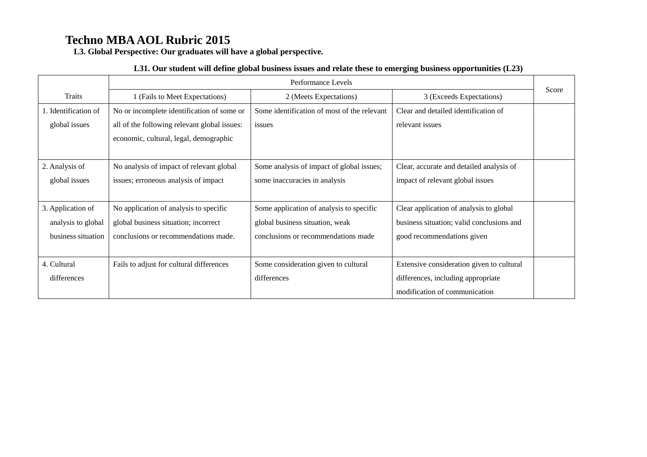**L3. Global Perspective: Our graduates will have a global perspective.** 

#### **L31. Our student will define global business issues and relate these to emerging business opportunities (L23)**

|                      | Performance Levels                           |                                             |                                           |       |
|----------------------|----------------------------------------------|---------------------------------------------|-------------------------------------------|-------|
| <b>Traits</b>        | 1 (Fails to Meet Expectations)               | 2 (Meets Expectations)                      | 3 (Exceeds Expectations)                  | Score |
| 1. Identification of | No or incomplete identification of some or   | Some identification of most of the relevant | Clear and detailed identification of      |       |
| global issues        | all of the following relevant global issues: | issues                                      | relevant issues                           |       |
|                      | economic, cultural, legal, demographic       |                                             |                                           |       |
|                      |                                              |                                             |                                           |       |
| 2. Analysis of       | No analysis of impact of relevant global     | Some analysis of impact of global issues;   | Clear, accurate and detailed analysis of  |       |
| global issues        | issues; erroneous analysis of impact         | some inaccuracies in analysis               | impact of relevant global issues          |       |
|                      |                                              |                                             |                                           |       |
| 3. Application of    | No application of analysis to specific       | Some application of analysis to specific    | Clear application of analysis to global   |       |
| analysis to global   | global business situation; incorrect         | global business situation, weak             | business situation; valid conclusions and |       |
| business situation   | conclusions or recommendations made.         | conclusions or recommendations made         | good recommendations given                |       |
|                      |                                              |                                             |                                           |       |
| 4. Cultural          | Fails to adjust for cultural differences     | Some consideration given to cultural        | Extensive consideration given to cultural |       |
| differences          |                                              | differences                                 | differences, including appropriate        |       |
|                      |                                              |                                             | modification of communication             |       |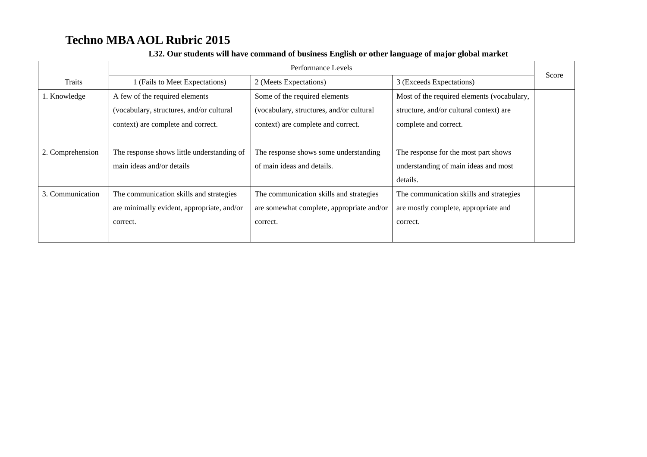|                  | Performance Levels                         |                                           |                                            |       |
|------------------|--------------------------------------------|-------------------------------------------|--------------------------------------------|-------|
| Traits           | (Fails to Meet Expectations)               | 2 (Meets Expectations)                    | 3 (Exceeds Expectations)                   | Score |
| 1. Knowledge     | A few of the required elements             | Some of the required elements             | Most of the required elements (vocabulary, |       |
|                  | (vocabulary, structures, and/or cultural   | (vocabulary, structures, and/or cultural  | structure, and/or cultural context) are    |       |
|                  | context) are complete and correct.         | context) are complete and correct.        | complete and correct.                      |       |
|                  |                                            |                                           |                                            |       |
| 2. Comprehension | The response shows little understanding of | The response shows some understanding     | The response for the most part shows       |       |
|                  | main ideas and/or details                  | of main ideas and details.                | understanding of main ideas and most       |       |
|                  |                                            |                                           | details.                                   |       |
| 3. Communication | The communication skills and strategies    | The communication skills and strategies   | The communication skills and strategies    |       |
|                  | are minimally evident, appropriate, and/or | are somewhat complete, appropriate and/or | are mostly complete, appropriate and       |       |
|                  | correct.                                   | correct.                                  | correct.                                   |       |
|                  |                                            |                                           |                                            |       |

#### **L32. Our students will have command of business English or other language of major global market**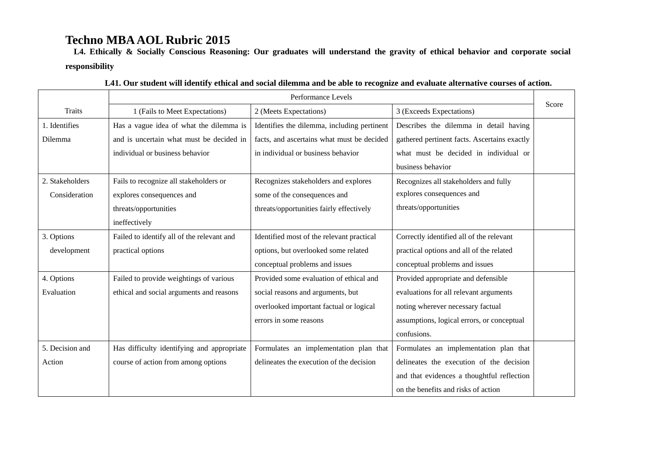**L4. Ethically & Socially Conscious Reasoning: Our graduates will understand the gravity of ethical behavior and corporate social responsibility** 

|                 | Performance Levels                         |                                             |                                              |       |
|-----------------|--------------------------------------------|---------------------------------------------|----------------------------------------------|-------|
| <b>Traits</b>   | 1 (Fails to Meet Expectations)             | 2 (Meets Expectations)                      | 3 (Exceeds Expectations)                     | Score |
| 1. Identifies   | Has a vague idea of what the dilemma is    | Identifies the dilemma, including pertinent | Describes the dilemma in detail having       |       |
| Dilemma         | and is uncertain what must be decided in   | facts, and ascertains what must be decided  | gathered pertinent facts. Ascertains exactly |       |
|                 | individual or business behavior            | in individual or business behavior          | what must be decided in individual or        |       |
|                 |                                            |                                             | business behavior                            |       |
| 2. Stakeholders | Fails to recognize all stakeholders or     | Recognizes stakeholders and explores        | Recognizes all stakeholders and fully        |       |
| Consideration   | explores consequences and                  | some of the consequences and                | explores consequences and                    |       |
|                 | threats/opportunities                      | threats/opportunities fairly effectively    | threats/opportunities                        |       |
|                 | ineffectively                              |                                             |                                              |       |
| 3. Options      | Failed to identify all of the relevant and | Identified most of the relevant practical   | Correctly identified all of the relevant     |       |
| development     | practical options                          | options, but overlooked some related        | practical options and all of the related     |       |
|                 |                                            | conceptual problems and issues              | conceptual problems and issues               |       |
| 4. Options      | Failed to provide weightings of various    | Provided some evaluation of ethical and     | Provided appropriate and defensible          |       |
| Evaluation      | ethical and social arguments and reasons   | social reasons and arguments, but           | evaluations for all relevant arguments       |       |
|                 |                                            | overlooked important factual or logical     | noting wherever necessary factual            |       |
|                 |                                            | errors in some reasons                      | assumptions, logical errors, or conceptual   |       |
|                 |                                            |                                             | confusions.                                  |       |
| 5. Decision and | Has difficulty identifying and appropriate | Formulates an implementation plan that      | Formulates an implementation plan that       |       |
| Action          | course of action from among options        | delineates the execution of the decision    | delineates the execution of the decision     |       |
|                 |                                            |                                             | and that evidences a thoughtful reflection   |       |
|                 |                                            |                                             | on the benefits and risks of action          |       |

|  |  |  | L41. Our student will identify ethical and social dilemma and be able to recognize and evaluate alternative courses of action. |  |
|--|--|--|--------------------------------------------------------------------------------------------------------------------------------|--|
|  |  |  |                                                                                                                                |  |
|  |  |  |                                                                                                                                |  |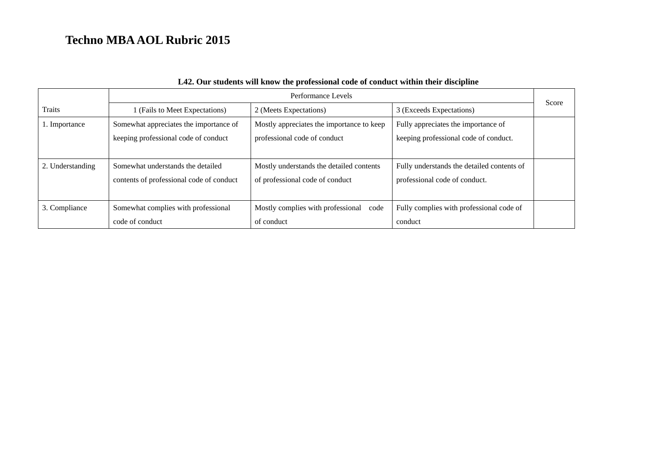|                  | Performance Levels                       |                                           |                                            |       |
|------------------|------------------------------------------|-------------------------------------------|--------------------------------------------|-------|
| <b>Traits</b>    | I (Fails to Meet Expectations)           | 2 (Meets Expectations)                    | 3 (Exceeds Expectations)                   | Score |
| 1. Importance    | Somewhat appreciates the importance of   | Mostly appreciates the importance to keep | Fully appreciates the importance of        |       |
|                  | keeping professional code of conduct     | professional code of conduct              | keeping professional code of conduct.      |       |
|                  |                                          |                                           |                                            |       |
| 2. Understanding | Somewhat understands the detailed        | Mostly understands the detailed contents  | Fully understands the detailed contents of |       |
|                  | contents of professional code of conduct | of professional code of conduct           | professional code of conduct.              |       |
|                  |                                          |                                           |                                            |       |
| 3. Compliance    | Somewhat complies with professional      | Mostly complies with professional code    | Fully complies with professional code of   |       |
|                  | code of conduct                          | of conduct                                | conduct                                    |       |

### **L42. Our students will know the professional code of conduct within their discipline**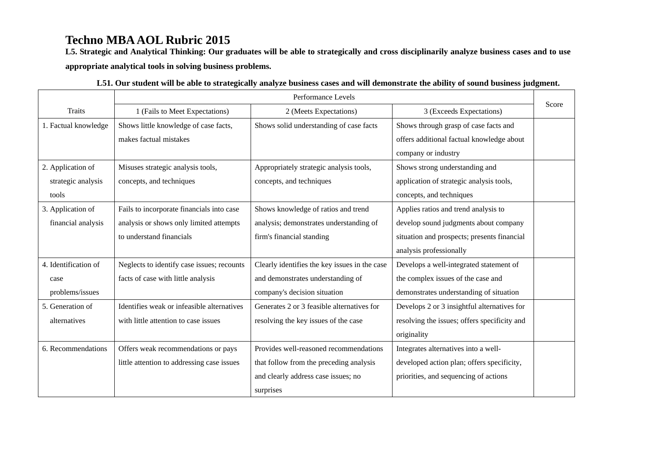**L5. Strategic and Analytical Thinking: Our graduates will be able to strategically and cross disciplinarily analyze business cases and to use appropriate analytical tools in solving business problems.** 

|                      | Performance Levels                         |                                               |                                              |       |
|----------------------|--------------------------------------------|-----------------------------------------------|----------------------------------------------|-------|
| Traits               | 1 (Fails to Meet Expectations)             | 2 (Meets Expectations)                        | 3 (Exceeds Expectations)                     | Score |
| 1. Factual knowledge | Shows little knowledge of case facts,      | Shows solid understanding of case facts       | Shows through grasp of case facts and        |       |
|                      | makes factual mistakes                     |                                               | offers additional factual knowledge about    |       |
|                      |                                            |                                               | company or industry                          |       |
| 2. Application of    | Misuses strategic analysis tools,          | Appropriately strategic analysis tools,       | Shows strong understanding and               |       |
| strategic analysis   | concepts, and techniques                   | concepts, and techniques                      | application of strategic analysis tools,     |       |
| tools                |                                            |                                               | concepts, and techniques                     |       |
| 3. Application of    | Fails to incorporate financials into case  | Shows knowledge of ratios and trend           | Applies ratios and trend analysis to         |       |
| financial analysis   | analysis or shows only limited attempts    | analysis; demonstrates understanding of       | develop sound judgments about company        |       |
|                      | to understand financials                   | firm's financial standing                     | situation and prospects; presents financial  |       |
|                      |                                            |                                               | analysis professionally                      |       |
| 4. Identification of | Neglects to identify case issues; recounts | Clearly identifies the key issues in the case | Develops a well-integrated statement of      |       |
| case                 | facts of case with little analysis         | and demonstrates understanding of             | the complex issues of the case and           |       |
| problems/issues      |                                            | company's decision situation                  | demonstrates understanding of situation      |       |
| 5. Generation of     | Identifies weak or infeasible alternatives | Generates 2 or 3 feasible alternatives for    | Develops 2 or 3 insightful alternatives for  |       |
| alternatives         | with little attention to case issues       | resolving the key issues of the case          | resolving the issues; offers specificity and |       |
|                      |                                            |                                               | originality                                  |       |
| 6. Recommendations   | Offers weak recommendations or pays        | Provides well-reasoned recommendations        | Integrates alternatives into a well-         |       |
|                      | little attention to addressing case issues | that follow from the preceding analysis       | developed action plan; offers specificity,   |       |
|                      |                                            | and clearly address case issues; no           | priorities, and sequencing of actions        |       |
|                      |                                            | surprises                                     |                                              |       |

| L51. Our student will be able to strategically analyze business cases and will demonstrate the ability of sound business judgment. |  |
|------------------------------------------------------------------------------------------------------------------------------------|--|
|                                                                                                                                    |  |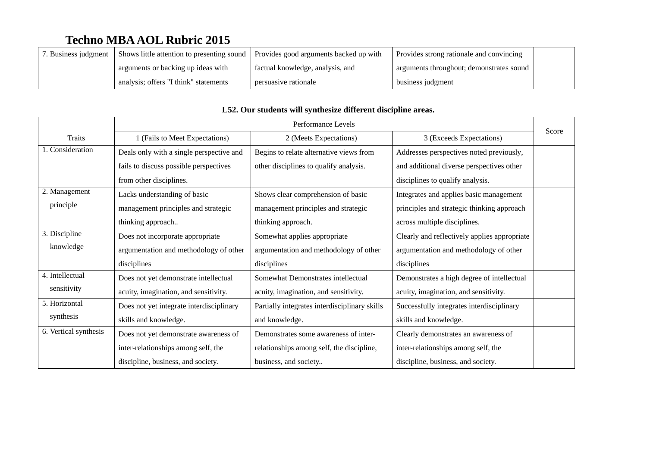| 7. Business judgment | Shows little attention to presenting sound | Provides good arguments backed up with | Provides strong rationale and convincing |  |
|----------------------|--------------------------------------------|----------------------------------------|------------------------------------------|--|
|                      | arguments or backing up ideas with         | factual knowledge, analysis, and       | arguments throughout; demonstrates sound |  |
|                      | analysis; offers "I think" statements      | persuasive rationale                   | business judgment                        |  |

|                       | Performance Levels                       |                                               |                                              |       |
|-----------------------|------------------------------------------|-----------------------------------------------|----------------------------------------------|-------|
| Traits                | 1 (Fails to Meet Expectations)           | 2 (Meets Expectations)                        | 3 (Exceeds Expectations)                     | Score |
| 1. Consideration      | Deals only with a single perspective and | Begins to relate alternative views from       | Addresses perspectives noted previously,     |       |
|                       | fails to discuss possible perspectives   | other disciplines to qualify analysis.        | and additional diverse perspectives other    |       |
|                       | from other disciplines.                  |                                               | disciplines to qualify analysis.             |       |
| 2. Management         | Lacks understanding of basic             | Shows clear comprehension of basic            | Integrates and applies basic management      |       |
| principle             | management principles and strategic      | management principles and strategic           | principles and strategic thinking approach   |       |
|                       | thinking approach                        | thinking approach.                            | across multiple disciplines.                 |       |
| 3. Discipline         | Does not incorporate appropriate         | Somewhat applies appropriate                  | Clearly and reflectively applies appropriate |       |
| knowledge             | argumentation and methodology of other   | argumentation and methodology of other        | argumentation and methodology of other       |       |
|                       | disciplines                              | disciplines                                   | disciplines                                  |       |
| 4. Intellectual       | Does not yet demonstrate intellectual    | Somewhat Demonstrates intellectual            | Demonstrates a high degree of intellectual   |       |
| sensitivity           | acuity, imagination, and sensitivity.    | acuity, imagination, and sensitivity.         | acuity, imagination, and sensitivity.        |       |
| 5. Horizontal         | Does not yet integrate interdisciplinary | Partially integrates interdisciplinary skills | Successfully integrates interdisciplinary    |       |
| synthesis             | skills and knowledge.                    | and knowledge.                                | skills and knowledge.                        |       |
| 6. Vertical synthesis | Does not yet demonstrate awareness of    | Demonstrates some awareness of inter-         | Clearly demonstrates an awareness of         |       |
|                       | inter-relationships among self, the      | relationships among self, the discipline,     | inter-relationships among self, the          |       |
|                       | discipline, business, and society.       | business, and society                         | discipline, business, and society.           |       |

### **L52. Our students will synthesize different discipline areas.**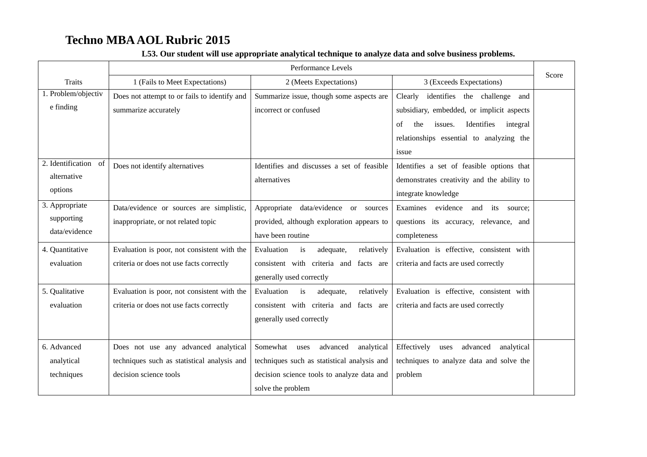|                                                                            | Performance Levels                                                                                            |                                                                                                                                                              |                                                                                                                                                                                                                                                                                           | Score |
|----------------------------------------------------------------------------|---------------------------------------------------------------------------------------------------------------|--------------------------------------------------------------------------------------------------------------------------------------------------------------|-------------------------------------------------------------------------------------------------------------------------------------------------------------------------------------------------------------------------------------------------------------------------------------------|-------|
| <b>Traits</b>                                                              | 1 (Fails to Meet Expectations)                                                                                | 2 (Meets Expectations)                                                                                                                                       | 3 (Exceeds Expectations)                                                                                                                                                                                                                                                                  |       |
| 1. Problem/objectiv<br>e finding<br>2. Identification<br>of<br>alternative | Does not attempt to or fails to identify and<br>summarize accurately<br>Does not identify alternatives        | Summarize issue, though some aspects are<br>incorrect or confused<br>Identifies and discusses a set of feasible<br>alternatives                              | Clearly<br>identifies the challenge<br>and<br>subsidiary, embedded, or implicit aspects<br>the<br>issues.<br>Identifies<br>integral<br>of<br>relationships essential to analyzing the<br>issue<br>Identifies a set of feasible options that<br>demonstrates creativity and the ability to |       |
| options                                                                    |                                                                                                               |                                                                                                                                                              | integrate knowledge                                                                                                                                                                                                                                                                       |       |
| 3. Appropriate<br>supporting<br>data/evidence                              | Data/evidence or sources are simplistic,<br>inappropriate, or not related topic                               | Appropriate data/evidence or sources<br>provided, although exploration appears to<br>have been routine                                                       | Examines evidence<br>and<br>its source;<br>questions its accuracy, relevance, and<br>completeness                                                                                                                                                                                         |       |
| 4. Quantitative<br>evaluation                                              | Evaluation is poor, not consistent with the<br>criteria or does not use facts correctly                       | Evaluation<br>adequate,<br>relatively<br>is<br>consistent with criteria and facts are<br>generally used correctly                                            | Evaluation is effective, consistent with<br>criteria and facts are used correctly                                                                                                                                                                                                         |       |
| 5. Qualitative<br>evaluation                                               | Evaluation is poor, not consistent with the<br>criteria or does not use facts correctly                       | Evaluation<br>is<br>adequate,<br>relatively<br>consistent with criteria and facts are<br>generally used correctly                                            | Evaluation is effective, consistent with<br>criteria and facts are used correctly                                                                                                                                                                                                         |       |
| 6. Advanced<br>analytical<br>techniques                                    | Does not use any advanced analytical<br>techniques such as statistical analysis and<br>decision science tools | Somewhat<br>advanced<br>analytical<br>uses<br>techniques such as statistical analysis and<br>decision science tools to analyze data and<br>solve the problem | Effectively<br>advanced<br>analytical<br>uses<br>techniques to analyze data and solve the<br>problem                                                                                                                                                                                      |       |

### **L53. Our student will use appropriate analytical technique to analyze data and solve business problems.**